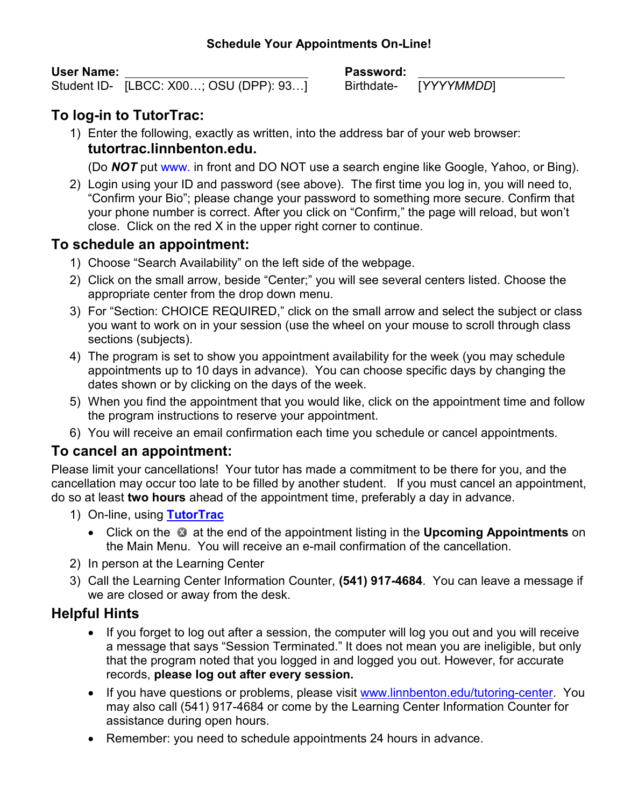#### **Schedule Your Appointments On-Line!**

#### **User Name: Password:**

Student ID- [LBCC: X00...; OSU (DPP): 93...] Birthdate- [*YYYYMMDD*]

# **To log-in to TutorTrac:**

1) Enter the following, exactly as written, into the address bar of your web browser: **tutortrac.linnbenton.edu.** 

(Do *NOT* put www. in front and DO NOT use a search engine like Google, Yahoo, or Bing).

2) Login using your ID and password (see above). The first time you log in, you will need to, "Confirm your Bio"; please change your password to something more secure. Confirm that your phone number is correct. After you click on "Confirm," the page will reload, but won't close. Click on the red X in the upper right corner to continue.

# **To schedule an appointment:**

- 1) Choose "Search Availability" on the left side of the webpage.
- 2) Click on the small arrow, beside "Center;" you will see several centers listed. Choose the appropriate center from the drop down menu.
- 3) For "Section: CHOICE REQUIRED," click on the small arrow and select the subject or class you want to work on in your session (use the wheel on your mouse to scroll through class sections (subjects).
- 4) The program is set to show you appointment availability for the week (you may schedule appointments up to 10 days in advance). You can choose specific days by changing the dates shown or by clicking on the days of the week.
- 5) When you find the appointment that you would like, click on the appointment time and follow the program instructions to reserve your appointment.
- 6) You will receive an email confirmation each time you schedule or cancel appointments.

### **To cancel an appointment:**

Please limit your cancellations! Your tutor has made a commitment to be there for you, and the cancellation may occur too late to be filled by another student. If you must cancel an appointment, do so at least **two hours** ahead of the appointment time, preferably a day in advance.

- 1) On-line, using **TutorTrac**
	- Click on the **a** at the end of the appointment listing in the **Upcoming Appointments** on the Main Menu. You will receive an e-mail confirmation of the cancellation.
- 2) In person at the Learning Center
- 3) Call the Learning Center Information Counter, **(541) 917-4684**. You can leave a message if we are closed or away from the desk.

# **Helpful Hints**

- If you forget to log out after a session, the computer will log you out and you will receive a message that says "Session Terminated." It does not mean you are ineligible, but only that the program noted that you logged in and logged you out. However, for accurate records, **please log out after every session.**
- If you have questions or problems, please visit www.linnbenton.edu/tutoring-center. You may also call (541) 917-4684 or come by the Learning Center Information Counter for assistance during open hours.
- Remember: you need to schedule appointments 24 hours in advance.